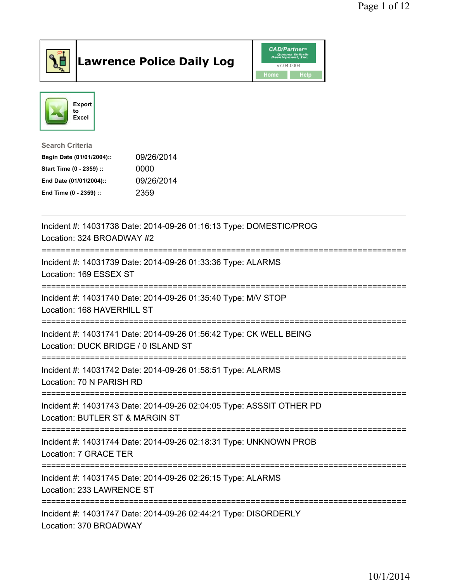

## Lawrence Police Daily Log Value of the CAD/Partner





Search Criteria

| Begin Date (01/01/2004):: | 09/26/2014 |
|---------------------------|------------|
| Start Time (0 - 2359) ::  | 0000       |
| End Date (01/01/2004)::   | 09/26/2014 |
| End Time (0 - 2359) ::    | 2359       |

| Incident #: 14031738 Date: 2014-09-26 01:16:13 Type: DOMESTIC/PROG<br>Location: 324 BROADWAY #2                                    |
|------------------------------------------------------------------------------------------------------------------------------------|
| Incident #: 14031739 Date: 2014-09-26 01:33:36 Type: ALARMS<br>Location: 169 ESSEX ST                                              |
| Incident #: 14031740 Date: 2014-09-26 01:35:40 Type: M/V STOP<br>Location: 168 HAVERHILL ST<br>----------------------------------- |
| Incident #: 14031741 Date: 2014-09-26 01:56:42 Type: CK WELL BEING<br>Location: DUCK BRIDGE / 0 ISLAND ST                          |
| Incident #: 14031742 Date: 2014-09-26 01:58:51 Type: ALARMS<br>Location: 70 N PARISH RD                                            |
| Incident #: 14031743 Date: 2014-09-26 02:04:05 Type: ASSSIT OTHER PD<br>Location: BUTLER ST & MARGIN ST                            |
| Incident #: 14031744 Date: 2014-09-26 02:18:31 Type: UNKNOWN PROB<br>Location: 7 GRACE TER<br>--------------------                 |
| Incident #: 14031745 Date: 2014-09-26 02:26:15 Type: ALARMS<br>Location: 233 LAWRENCE ST                                           |
| Incident #: 14031747 Date: 2014-09-26 02:44:21 Type: DISORDERLY<br>Location: 370 BROADWAY                                          |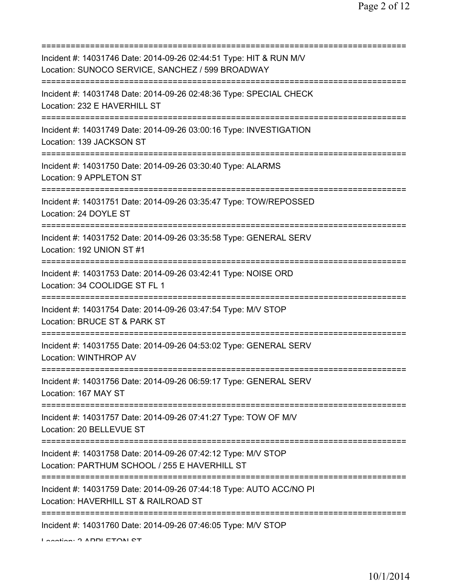| Incident #: 14031746 Date: 2014-09-26 02:44:51 Type: HIT & RUN M/V<br>Location: SUNOCO SERVICE, SANCHEZ / 599 BROADWAY                   |
|------------------------------------------------------------------------------------------------------------------------------------------|
| Incident #: 14031748 Date: 2014-09-26 02:48:36 Type: SPECIAL CHECK<br>Location: 232 E HAVERHILL ST                                       |
| Incident #: 14031749 Date: 2014-09-26 03:00:16 Type: INVESTIGATION<br>Location: 139 JACKSON ST                                           |
| Incident #: 14031750 Date: 2014-09-26 03:30:40 Type: ALARMS<br>Location: 9 APPLETON ST                                                   |
| Incident #: 14031751 Date: 2014-09-26 03:35:47 Type: TOW/REPOSSED<br>Location: 24 DOYLE ST                                               |
| Incident #: 14031752 Date: 2014-09-26 03:35:58 Type: GENERAL SERV<br>Location: 192 UNION ST #1<br>===========================            |
| Incident #: 14031753 Date: 2014-09-26 03:42:41 Type: NOISE ORD<br>Location: 34 COOLIDGE ST FL 1<br>.==================================== |
| Incident #: 14031754 Date: 2014-09-26 03:47:54 Type: M/V STOP<br>Location: BRUCE ST & PARK ST<br>=============                           |
| Incident #: 14031755 Date: 2014-09-26 04:53:02 Type: GENERAL SERV<br><b>Location: WINTHROP AV</b>                                        |
| Incident #: 14031756 Date: 2014-09-26 06:59:17 Type: GENERAL SERV<br>Location: 167 MAY ST                                                |
| Incident #: 14031757 Date: 2014-09-26 07:41:27 Type: TOW OF M/V<br>Location: 20 BELLEVUE ST                                              |
| Incident #: 14031758 Date: 2014-09-26 07:42:12 Type: M/V STOP<br>Location: PARTHUM SCHOOL / 255 E HAVERHILL ST                           |
| Incident #: 14031759 Date: 2014-09-26 07:44:18 Type: AUTO ACC/NO PI<br>Location: HAVERHILL ST & RAILROAD ST                              |
| Incident #: 14031760 Date: 2014-09-26 07:46:05 Type: M/V STOP                                                                            |

Location: 2 APPLETOM CT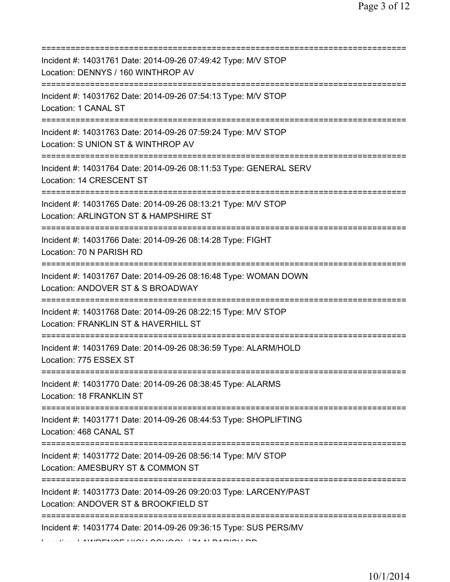| Incident #: 14031761 Date: 2014-09-26 07:49:42 Type: M/V STOP<br>Location: DENNYS / 160 WINTHROP AV                                          |
|----------------------------------------------------------------------------------------------------------------------------------------------|
| ========================<br>Incident #: 14031762 Date: 2014-09-26 07:54:13 Type: M/V STOP<br>Location: 1 CANAL ST                            |
| Incident #: 14031763 Date: 2014-09-26 07:59:24 Type: M/V STOP<br>Location: S UNION ST & WINTHROP AV<br>===================================== |
| Incident #: 14031764 Date: 2014-09-26 08:11:53 Type: GENERAL SERV<br>Location: 14 CRESCENT ST<br>====================================        |
| Incident #: 14031765 Date: 2014-09-26 08:13:21 Type: M/V STOP<br>Location: ARLINGTON ST & HAMPSHIRE ST<br>:===================               |
| Incident #: 14031766 Date: 2014-09-26 08:14:28 Type: FIGHT<br>Location: 70 N PARISH RD                                                       |
| Incident #: 14031767 Date: 2014-09-26 08:16:48 Type: WOMAN DOWN<br>Location: ANDOVER ST & S BROADWAY                                         |
| Incident #: 14031768 Date: 2014-09-26 08:22:15 Type: M/V STOP<br>Location: FRANKLIN ST & HAVERHILL ST                                        |
| Incident #: 14031769 Date: 2014-09-26 08:36:59 Type: ALARM/HOLD<br>Location: 775 ESSEX ST                                                    |
| Incident #: 14031770 Date: 2014-09-26 08:38:45 Type: ALARMS<br>Location: 18 FRANKLIN ST                                                      |
| ======================================<br>Incident #: 14031771 Date: 2014-09-26 08:44:53 Type: SHOPLIFTING<br>Location: 468 CANAL ST         |
| Incident #: 14031772 Date: 2014-09-26 08:56:14 Type: M/V STOP<br>Location: AMESBURY ST & COMMON ST                                           |
| Incident #: 14031773 Date: 2014-09-26 09:20:03 Type: LARCENY/PAST<br>Location: ANDOVER ST & BROOKFIELD ST                                    |
| Incident #: 14031774 Date: 2014-09-26 09:36:15 Type: SUS PERS/MV                                                                             |

Location: LAWRENCE HIGH SCHOOL / 71 N PARISH RD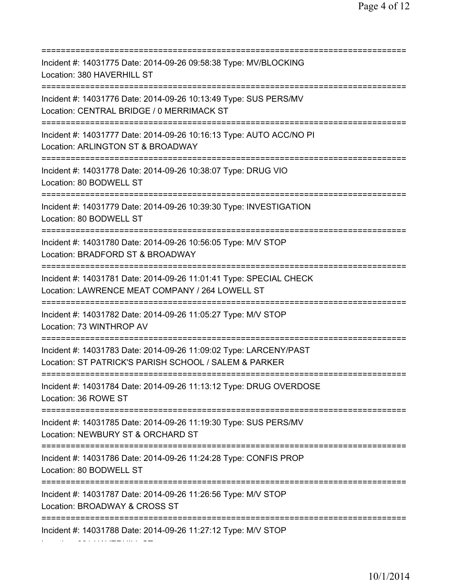| Incident #: 14031775 Date: 2014-09-26 09:58:38 Type: MV/BLOCKING<br>Location: 380 HAVERHILL ST                                                    |
|---------------------------------------------------------------------------------------------------------------------------------------------------|
| Incident #: 14031776 Date: 2014-09-26 10:13:49 Type: SUS PERS/MV<br>Location: CENTRAL BRIDGE / 0 MERRIMACK ST<br>------------------------------   |
| Incident #: 14031777 Date: 2014-09-26 10:16:13 Type: AUTO ACC/NO PI<br>Location: ARLINGTON ST & BROADWAY<br>===================================== |
| Incident #: 14031778 Date: 2014-09-26 10:38:07 Type: DRUG VIO<br>Location: 80 BODWELL ST<br>====================================                  |
| Incident #: 14031779 Date: 2014-09-26 10:39:30 Type: INVESTIGATION<br>Location: 80 BODWELL ST                                                     |
| Incident #: 14031780 Date: 2014-09-26 10:56:05 Type: M/V STOP<br>Location: BRADFORD ST & BROADWAY                                                 |
| Incident #: 14031781 Date: 2014-09-26 11:01:41 Type: SPECIAL CHECK<br>Location: LAWRENCE MEAT COMPANY / 264 LOWELL ST                             |
| Incident #: 14031782 Date: 2014-09-26 11:05:27 Type: M/V STOP<br>Location: 73 WINTHROP AV                                                         |
| Incident #: 14031783 Date: 2014-09-26 11:09:02 Type: LARCENY/PAST<br>Location: ST PATRICK'S PARISH SCHOOL / SALEM & PARKER                        |
| Incident #: 14031784 Date: 2014-09-26 11:13:12 Type: DRUG OVERDOSE<br>Location: 36 ROWE ST                                                        |
| Incident #: 14031785 Date: 2014-09-26 11:19:30 Type: SUS PERS/MV<br>Location: NEWBURY ST & ORCHARD ST                                             |
| =========================<br>Incident #: 14031786 Date: 2014-09-26 11:24:28 Type: CONFIS PROP<br>Location: 80 BODWELL ST                          |
| Incident #: 14031787 Date: 2014-09-26 11:26:56 Type: M/V STOP<br>Location: BROADWAY & CROSS ST                                                    |
| =============<br>Incident #: 14031788 Date: 2014-09-26 11:27:12 Type: M/V STOP                                                                    |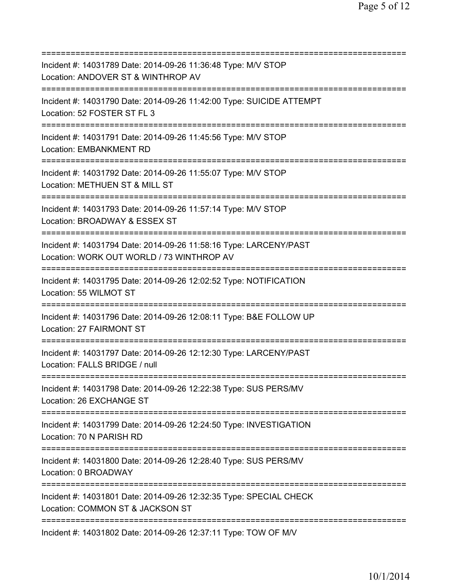| Incident #: 14031789 Date: 2014-09-26 11:36:48 Type: M/V STOP<br>Location: ANDOVER ST & WINTHROP AV                                                      |
|----------------------------------------------------------------------------------------------------------------------------------------------------------|
| Incident #: 14031790 Date: 2014-09-26 11:42:00 Type: SUICIDE ATTEMPT<br>Location: 52 FOSTER ST FL 3<br>:=====================<br>======================= |
| Incident #: 14031791 Date: 2014-09-26 11:45:56 Type: M/V STOP<br><b>Location: EMBANKMENT RD</b>                                                          |
| Incident #: 14031792 Date: 2014-09-26 11:55:07 Type: M/V STOP<br>Location: METHUEN ST & MILL ST<br>------------------------                              |
| Incident #: 14031793 Date: 2014-09-26 11:57:14 Type: M/V STOP<br>Location: BROADWAY & ESSEX ST                                                           |
| Incident #: 14031794 Date: 2014-09-26 11:58:16 Type: LARCENY/PAST<br>Location: WORK OUT WORLD / 73 WINTHROP AV<br>.------------------------------        |
| Incident #: 14031795 Date: 2014-09-26 12:02:52 Type: NOTIFICATION<br>Location: 55 WILMOT ST                                                              |
| Incident #: 14031796 Date: 2014-09-26 12:08:11 Type: B&E FOLLOW UP<br>Location: 27 FAIRMONT ST                                                           |
| Incident #: 14031797 Date: 2014-09-26 12:12:30 Type: LARCENY/PAST<br>Location: FALLS BRIDGE / null                                                       |
| Incident #: 14031798 Date: 2014-09-26 12:22:38 Type: SUS PERS/MV<br>Location: 26 EXCHANGE ST                                                             |
| Incident #: 14031799 Date: 2014-09-26 12:24:50 Type: INVESTIGATION<br>Location: 70 N PARISH RD                                                           |
| Incident #: 14031800 Date: 2014-09-26 12:28:40 Type: SUS PERS/MV<br>Location: 0 BROADWAY                                                                 |
| Incident #: 14031801 Date: 2014-09-26 12:32:35 Type: SPECIAL CHECK<br>Location: COMMON ST & JACKSON ST                                                   |
| Incident #: 14031802 Date: 2014-09-26 12:37:11 Type: TOW OF M/V                                                                                          |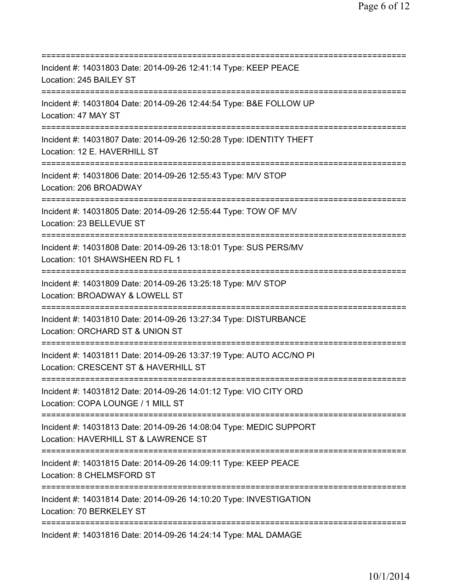=========================================================================== Incident #: 14031803 Date: 2014-09-26 12:41:14 Type: KEEP PEACE Location: 245 BAILEY ST =========================================================================== Incident #: 14031804 Date: 2014-09-26 12:44:54 Type: B&E FOLLOW UP Location: 47 MAY ST =========================================================================== Incident #: 14031807 Date: 2014-09-26 12:50:28 Type: IDENTITY THEFT Location: 12 E. HAVERHILL ST =========================================================================== Incident #: 14031806 Date: 2014-09-26 12:55:43 Type: M/V STOP Location: 206 BROADWAY =========================================================================== Incident #: 14031805 Date: 2014-09-26 12:55:44 Type: TOW OF M/V Location: 23 BELLEVUE ST =========================================================================== Incident #: 14031808 Date: 2014-09-26 13:18:01 Type: SUS PERS/MV Location: 101 SHAWSHEEN RD FL 1 =========================================================================== Incident #: 14031809 Date: 2014-09-26 13:25:18 Type: M/V STOP Location: BROADWAY & LOWELL ST =========================================================================== Incident #: 14031810 Date: 2014-09-26 13:27:34 Type: DISTURBANCE Location: ORCHARD ST & UNION ST =========================================================================== Incident #: 14031811 Date: 2014-09-26 13:37:19 Type: AUTO ACC/NO PI Location: CRESCENT ST & HAVERHILL ST =========================================================================== Incident #: 14031812 Date: 2014-09-26 14:01:12 Type: VIO CITY ORD Location: COPA LOUNGE / 1 MILL ST =========================================================================== Incident #: 14031813 Date: 2014-09-26 14:08:04 Type: MEDIC SUPPORT Location: HAVERHILL ST & LAWRENCE ST =========================================================================== Incident #: 14031815 Date: 2014-09-26 14:09:11 Type: KEEP PEACE Location: 8 CHELMSFORD ST =========================================================================== Incident #: 14031814 Date: 2014-09-26 14:10:20 Type: INVESTIGATION Location: 70 BERKELEY ST =========================================================================== Incident #: 14031816 Date: 2014-09-26 14:24:14 Type: MAL DAMAGE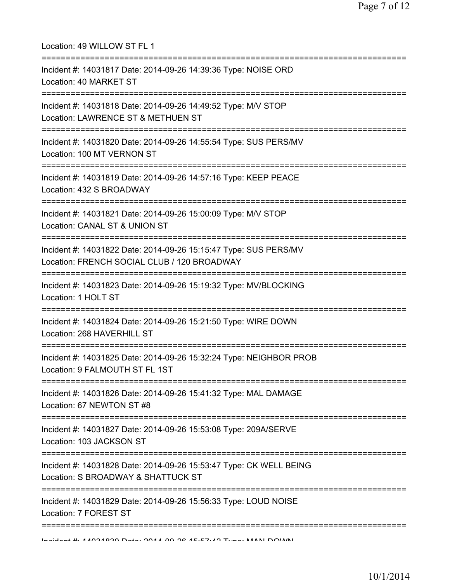| Location: 49 WILLOW ST FL 1                                                                                     |
|-----------------------------------------------------------------------------------------------------------------|
| Incident #: 14031817 Date: 2014-09-26 14:39:36 Type: NOISE ORD<br>Location: 40 MARKET ST                        |
| Incident #: 14031818 Date: 2014-09-26 14:49:52 Type: M/V STOP<br>Location: LAWRENCE ST & METHUEN ST             |
| Incident #: 14031820 Date: 2014-09-26 14:55:54 Type: SUS PERS/MV<br>Location: 100 MT VERNON ST                  |
| Incident #: 14031819 Date: 2014-09-26 14:57:16 Type: KEEP PEACE<br>Location: 432 S BROADWAY                     |
| Incident #: 14031821 Date: 2014-09-26 15:00:09 Type: M/V STOP<br>Location: CANAL ST & UNION ST                  |
| Incident #: 14031822 Date: 2014-09-26 15:15:47 Type: SUS PERS/MV<br>Location: FRENCH SOCIAL CLUB / 120 BROADWAY |
| Incident #: 14031823 Date: 2014-09-26 15:19:32 Type: MV/BLOCKING<br>Location: 1 HOLT ST                         |
| Incident #: 14031824 Date: 2014-09-26 15:21:50 Type: WIRE DOWN<br>Location: 268 HAVERHILL ST                    |
| Incident #: 14031825 Date: 2014-09-26 15:32:24 Type: NEIGHBOR PROB<br>Location: 9 FALMOUTH ST FL 1ST            |
| Incident #: 14031826 Date: 2014-09-26 15:41:32 Type: MAL DAMAGE<br>Location: 67 NEWTON ST #8                    |
| Incident #: 14031827 Date: 2014-09-26 15:53:08 Type: 209A/SERVE<br>Location: 103 JACKSON ST                     |
| Incident #: 14031828 Date: 2014-09-26 15:53:47 Type: CK WELL BEING<br>Location: S BROADWAY & SHATTUCK ST        |
| Incident #: 14031829 Date: 2014-09-26 15:56:33 Type: LOUD NOISE<br>Location: 7 FOREST ST                        |
|                                                                                                                 |

Incident #: 14031830 Date: 2014 09 26 15:57:42 Type: MAN DOWN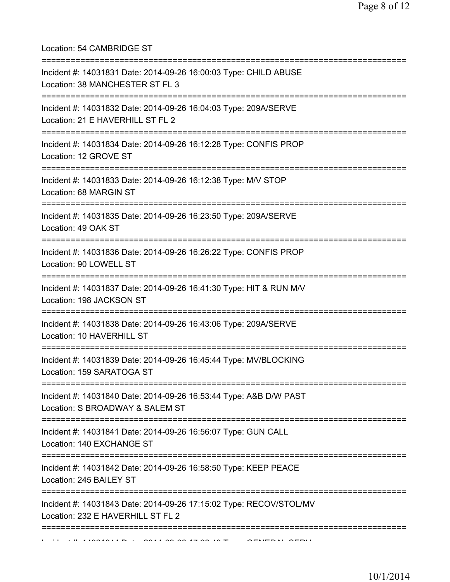Location: 54 CAMBRIDGE ST

| Incident #: 14031831 Date: 2014-09-26 16:00:03 Type: CHILD ABUSE<br>Location: 38 MANCHESTER ST FL 3                          |
|------------------------------------------------------------------------------------------------------------------------------|
| =====================<br>Incident #: 14031832 Date: 2014-09-26 16:04:03 Type: 209A/SERVE<br>Location: 21 E HAVERHILL ST FL 2 |
| Incident #: 14031834 Date: 2014-09-26 16:12:28 Type: CONFIS PROP<br>Location: 12 GROVE ST                                    |
| Incident #: 14031833 Date: 2014-09-26 16:12:38 Type: M/V STOP<br>Location: 68 MARGIN ST<br>:====================             |
| Incident #: 14031835 Date: 2014-09-26 16:23:50 Type: 209A/SERVE<br>Location: 49 OAK ST                                       |
| Incident #: 14031836 Date: 2014-09-26 16:26:22 Type: CONFIS PROP<br>Location: 90 LOWELL ST<br>======================         |
| Incident #: 14031837 Date: 2014-09-26 16:41:30 Type: HIT & RUN M/V<br>Location: 198 JACKSON ST                               |
| Incident #: 14031838 Date: 2014-09-26 16:43:06 Type: 209A/SERVE<br>Location: 10 HAVERHILL ST                                 |
| Incident #: 14031839 Date: 2014-09-26 16:45:44 Type: MV/BLOCKING<br>Location: 159 SARATOGA ST                                |
| Incident #: 14031840 Date: 2014-09-26 16:53:44 Type: A&B D/W PAST<br>Location: S BROADWAY & SALEM ST                         |
| Incident #: 14031841 Date: 2014-09-26 16:56:07 Type: GUN CALL<br>Location: 140 EXCHANGE ST                                   |
| :=======================<br>Incident #: 14031842 Date: 2014-09-26 16:58:50 Type: KEEP PEACE<br>Location: 245 BAILEY ST       |
| Incident #: 14031843 Date: 2014-09-26 17:15:02 Type: RECOV/STOL/MV<br>Location: 232 E HAVERHILL ST FL 2                      |
|                                                                                                                              |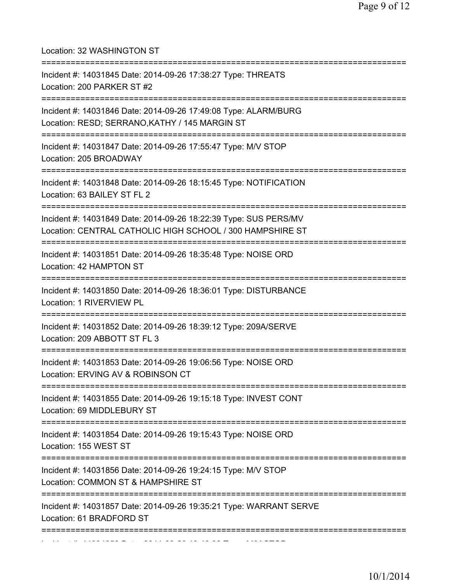Location: 32 WASHINGTON ST =========================================================================== Incident #: 14031845 Date: 2014-09-26 17:38:27 Type: THREATS Location: 200 PARKER ST #2 =========================================================================== Incident #: 14031846 Date: 2014-09-26 17:49:08 Type: ALARM/BURG Location: RESD; SERRANO,KATHY / 145 MARGIN ST =========================================================================== Incident #: 14031847 Date: 2014-09-26 17:55:47 Type: M/V STOP Location: 205 BROADWAY =========================================================================== Incident #: 14031848 Date: 2014-09-26 18:15:45 Type: NOTIFICATION Location: 63 BAILEY ST FL 2 =========================================================================== Incident #: 14031849 Date: 2014-09-26 18:22:39 Type: SUS PERS/MV Location: CENTRAL CATHOLIC HIGH SCHOOL / 300 HAMPSHIRE ST =========================================================================== Incident #: 14031851 Date: 2014-09-26 18:35:48 Type: NOISE ORD Location: 42 HAMPTON ST =========================================================================== Incident #: 14031850 Date: 2014-09-26 18:36:01 Type: DISTURBANCE Location: 1 RIVERVIEW PL ============================== Incident #: 14031852 Date: 2014-09-26 18:39:12 Type: 209A/SERVE Location: 209 ABBOTT ST FL 3 =========================================================================== Incident #: 14031853 Date: 2014-09-26 19:06:56 Type: NOISE ORD Location: ERVING AV & ROBINSON CT =========================================================================== Incident #: 14031855 Date: 2014-09-26 19:15:18 Type: INVEST CONT Location: 69 MIDDLEBURY ST =========================================================================== Incident #: 14031854 Date: 2014-09-26 19:15:43 Type: NOISE ORD Location: 155 WEST ST =========================================================================== Incident #: 14031856 Date: 2014-09-26 19:24:15 Type: M/V STOP Location: COMMON ST & HAMPSHIRE ST =========================================================================== Incident #: 14031857 Date: 2014-09-26 19:35:21 Type: WARRANT SERVE Location: 61 BRADFORD ST =========================================================================== Incident #: 14031858 Date: 2014 09 26 19:43:32 Type: M/V STOP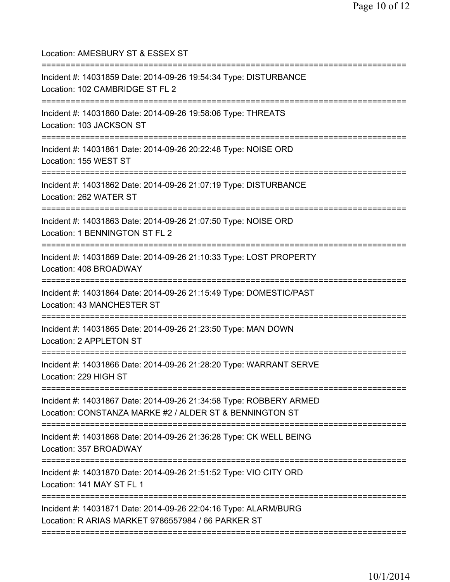Location: AMESBURY ST & ESSEX ST =========================================================================== Incident #: 14031859 Date: 2014-09-26 19:54:34 Type: DISTURBANCE Location: 102 CAMBRIDGE ST FL 2 =========================================================================== Incident #: 14031860 Date: 2014-09-26 19:58:06 Type: THREATS Location: 103 JACKSON ST =========================================================================== Incident #: 14031861 Date: 2014-09-26 20:22:48 Type: NOISE ORD Location: 155 WEST ST =========================================================================== Incident #: 14031862 Date: 2014-09-26 21:07:19 Type: DISTURBANCE Location: 262 WATER ST =========================================================================== Incident #: 14031863 Date: 2014-09-26 21:07:50 Type: NOISE ORD Location: 1 BENNINGTON ST FL 2 =========================================================================== Incident #: 14031869 Date: 2014-09-26 21:10:33 Type: LOST PROPERTY Location: 408 BROADWAY =========================================================================== Incident #: 14031864 Date: 2014-09-26 21:15:49 Type: DOMESTIC/PAST Location: 43 MANCHESTER ST =========================================================================== Incident #: 14031865 Date: 2014-09-26 21:23:50 Type: MAN DOWN Location: 2 APPLETON ST =========================================================================== Incident #: 14031866 Date: 2014-09-26 21:28:20 Type: WARRANT SERVE Location: 229 HIGH ST =========================================================================== Incident #: 14031867 Date: 2014-09-26 21:34:58 Type: ROBBERY ARMED Location: CONSTANZA MARKE #2 / ALDER ST & BENNINGTON ST =========================================================================== Incident #: 14031868 Date: 2014-09-26 21:36:28 Type: CK WELL BEING Location: 357 BROADWAY =========================================================================== Incident #: 14031870 Date: 2014-09-26 21:51:52 Type: VIO CITY ORD Location: 141 MAY ST FL 1 =========================================================================== Incident #: 14031871 Date: 2014-09-26 22:04:16 Type: ALARM/BURG Location: R ARIAS MARKET 9786557984 / 66 PARKER ST ===========================================================================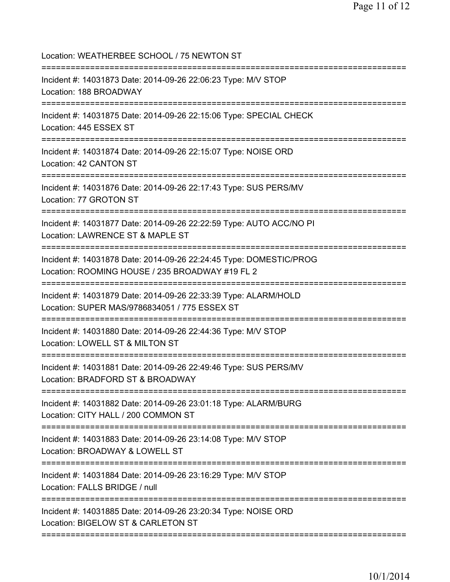| Location: WEATHERBEE SCHOOL / 75 NEWTON ST                                                                                        |
|-----------------------------------------------------------------------------------------------------------------------------------|
| Incident #: 14031873 Date: 2014-09-26 22:06:23 Type: M/V STOP<br>Location: 188 BROADWAY<br>====================================== |
| Incident #: 14031875 Date: 2014-09-26 22:15:06 Type: SPECIAL CHECK<br>Location: 445 ESSEX ST                                      |
| Incident #: 14031874 Date: 2014-09-26 22:15:07 Type: NOISE ORD<br>Location: 42 CANTON ST                                          |
| Incident #: 14031876 Date: 2014-09-26 22:17:43 Type: SUS PERS/MV<br>Location: 77 GROTON ST                                        |
| Incident #: 14031877 Date: 2014-09-26 22:22:59 Type: AUTO ACC/NO PI<br>Location: LAWRENCE ST & MAPLE ST                           |
| Incident #: 14031878 Date: 2014-09-26 22:24:45 Type: DOMESTIC/PROG<br>Location: ROOMING HOUSE / 235 BROADWAY #19 FL 2             |
| Incident #: 14031879 Date: 2014-09-26 22:33:39 Type: ALARM/HOLD<br>Location: SUPER MAS/9786834051 / 775 ESSEX ST                  |
| Incident #: 14031880 Date: 2014-09-26 22:44:36 Type: M/V STOP<br>Location: LOWELL ST & MILTON ST<br>============================= |
| Incident #: 14031881 Date: 2014-09-26 22:49:46 Type: SUS PERS/MV<br>Location: BRADFORD ST & BROADWAY                              |
| Incident #: 14031882 Date: 2014-09-26 23:01:18 Type: ALARM/BURG<br>Location: CITY HALL / 200 COMMON ST                            |
| Incident #: 14031883 Date: 2014-09-26 23:14:08 Type: M/V STOP<br>Location: BROADWAY & LOWELL ST                                   |
| Incident #: 14031884 Date: 2014-09-26 23:16:29 Type: M/V STOP<br>Location: FALLS BRIDGE / null<br>================                |
| Incident #: 14031885 Date: 2014-09-26 23:20:34 Type: NOISE ORD<br>Location: BIGELOW ST & CARLETON ST                              |
|                                                                                                                                   |